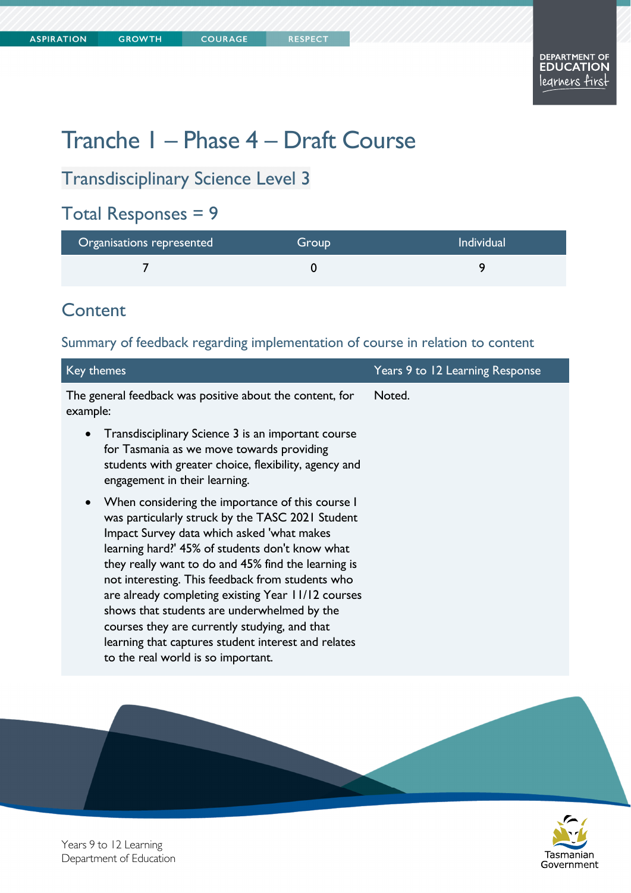# Tranche 1 – Phase 4 – Draft Course

# Transdisciplinary Science Level 3

### Total Responses = 9

| Organisations represented | Group | <b>Individual</b> |
|---------------------------|-------|-------------------|
|                           |       |                   |

### **Content**

#### Summary of feedback regarding implementation of course in relation to content

| Key themes                                                                                                                                                                                                                                                                                                                                                                                                                                                                                                                                                                       | Years 9 to 12 Learning Response |
|----------------------------------------------------------------------------------------------------------------------------------------------------------------------------------------------------------------------------------------------------------------------------------------------------------------------------------------------------------------------------------------------------------------------------------------------------------------------------------------------------------------------------------------------------------------------------------|---------------------------------|
| The general feedback was positive about the content, for<br>example:                                                                                                                                                                                                                                                                                                                                                                                                                                                                                                             | Noted.                          |
| Transdisciplinary Science 3 is an important course<br>$\bullet$<br>for Tasmania as we move towards providing<br>students with greater choice, flexibility, agency and<br>engagement in their learning.                                                                                                                                                                                                                                                                                                                                                                           |                                 |
| When considering the importance of this course I<br>$\bullet$<br>was particularly struck by the TASC 2021 Student<br>Impact Survey data which asked 'what makes<br>learning hard?' 45% of students don't know what<br>they really want to do and 45% find the learning is<br>not interesting. This feedback from students who<br>are already completing existing Year 11/12 courses<br>shows that students are underwhelmed by the<br>courses they are currently studying, and that<br>learning that captures student interest and relates<br>to the real world is so important. |                                 |





Years 9 to 12 Learning Department of Education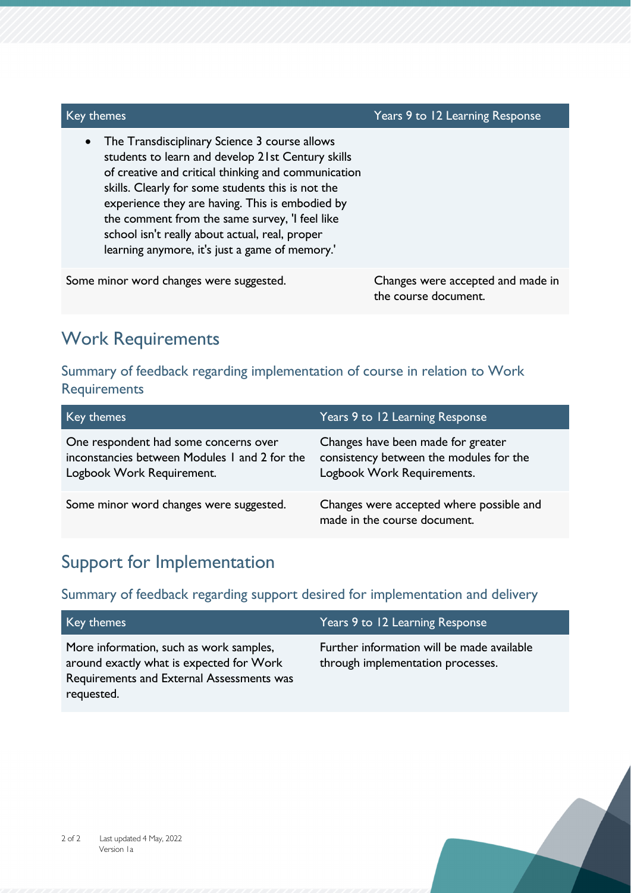| Key themes                                                                                                                                                                                                                                                                                                                                                                                                                           | Years 9 to 12 Learning Response                           |
|--------------------------------------------------------------------------------------------------------------------------------------------------------------------------------------------------------------------------------------------------------------------------------------------------------------------------------------------------------------------------------------------------------------------------------------|-----------------------------------------------------------|
| The Transdisciplinary Science 3 course allows<br>$\bullet$<br>students to learn and develop 21st Century skills<br>of creative and critical thinking and communication<br>skills. Clearly for some students this is not the<br>experience they are having. This is embodied by<br>the comment from the same survey, 'I feel like<br>school isn't really about actual, real, proper<br>learning anymore, it's just a game of memory.' |                                                           |
| Some minor word changes were suggested.                                                                                                                                                                                                                                                                                                                                                                                              | Changes were accepted and made in<br>the course document. |

### Work Requirements

#### Summary of feedback regarding implementation of course in relation to Work **Requirements**

| Key themes                                                                                                          | Years 9 to 12 Learning Response                                                                             |
|---------------------------------------------------------------------------------------------------------------------|-------------------------------------------------------------------------------------------------------------|
| One respondent had some concerns over<br>inconstancies between Modules 1 and 2 for the<br>Logbook Work Requirement. | Changes have been made for greater<br>consistency between the modules for the<br>Logbook Work Requirements. |
| Some minor word changes were suggested.                                                                             | Changes were accepted where possible and<br>made in the course document.                                    |

### Support for Implementation

#### Summary of feedback regarding support desired for implementation and delivery

| Key themes                                                                                                                                     | Years 9 to 12 Learning Response                                                 |
|------------------------------------------------------------------------------------------------------------------------------------------------|---------------------------------------------------------------------------------|
| More information, such as work samples,<br>around exactly what is expected for Work<br>Requirements and External Assessments was<br>requested. | Further information will be made available<br>through implementation processes. |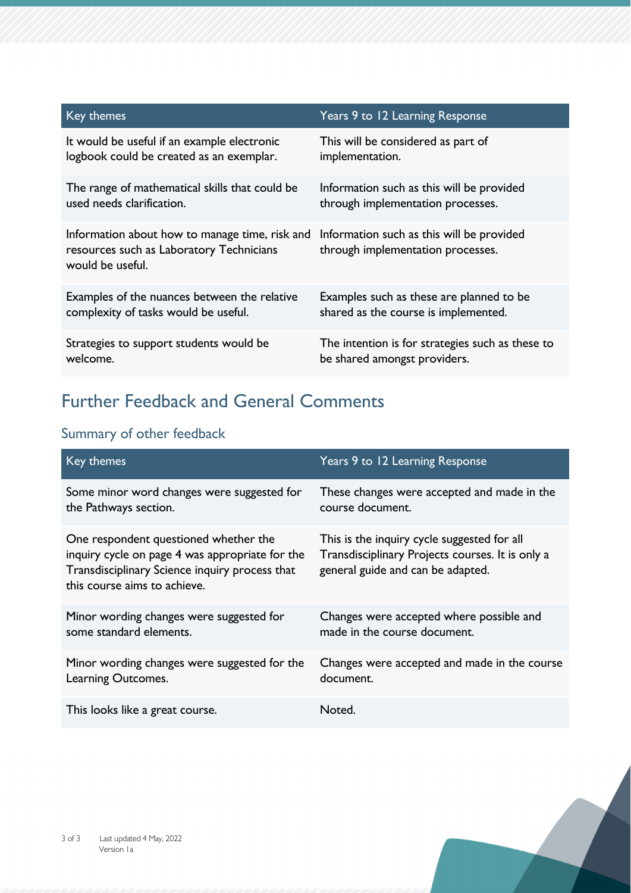| Key themes                                                                                                     | Years 9 to 12 Learning Response                                                |
|----------------------------------------------------------------------------------------------------------------|--------------------------------------------------------------------------------|
| It would be useful if an example electronic                                                                    | This will be considered as part of                                             |
| logbook could be created as an exemplar.                                                                       | implementation.                                                                |
| The range of mathematical skills that could be                                                                 | Information such as this will be provided                                      |
| used needs clarification.                                                                                      | through implementation processes.                                              |
| Information about how to manage time, risk and<br>resources such as Laboratory Technicians<br>would be useful. | Information such as this will be provided<br>through implementation processes. |
| Examples of the nuances between the relative                                                                   | Examples such as these are planned to be                                       |
| complexity of tasks would be useful.                                                                           | shared as the course is implemented.                                           |
| Strategies to support students would be                                                                        | The intention is for strategies such as these to                               |
| welcome.                                                                                                       | be shared amongst providers.                                                   |

# Further Feedback and General Comments

### Summary of other feedback

| Key themes                                                                                                                                                                 | Years 9 to 12 Learning Response                                                                                                      |
|----------------------------------------------------------------------------------------------------------------------------------------------------------------------------|--------------------------------------------------------------------------------------------------------------------------------------|
| Some minor word changes were suggested for                                                                                                                                 | These changes were accepted and made in the                                                                                          |
| the Pathways section.                                                                                                                                                      | course document.                                                                                                                     |
| One respondent questioned whether the<br>inquiry cycle on page 4 was appropriate for the<br>Transdisciplinary Science inquiry process that<br>this course aims to achieve. | This is the inquiry cycle suggested for all<br>Transdisciplinary Projects courses. It is only a<br>general guide and can be adapted. |
| Minor wording changes were suggested for                                                                                                                                   | Changes were accepted where possible and                                                                                             |
| some standard elements.                                                                                                                                                    | made in the course document.                                                                                                         |
| Minor wording changes were suggested for the                                                                                                                               | Changes were accepted and made in the course                                                                                         |
| Learning Outcomes.                                                                                                                                                         | document.                                                                                                                            |
| This looks like a great course.                                                                                                                                            | Noted.                                                                                                                               |